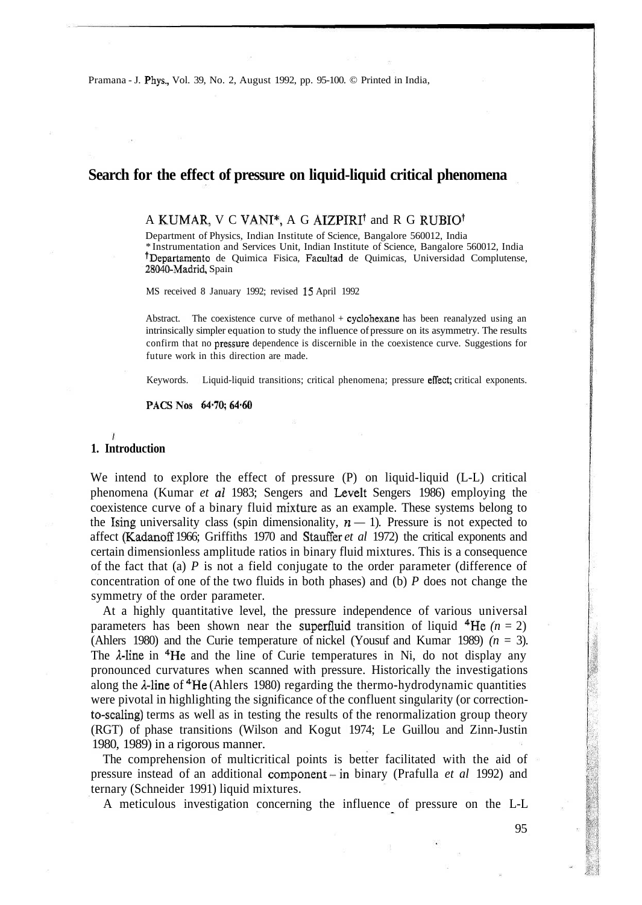Pramana - J. Phys., Vol. 39, No. 2, August 1992, pp. 95-100. © Printed in India,

## **Search for the effect of pressure on liquid-liquid critical phenomena**

## A KUMAR, V C VANI\*, A G AIZPIRI\* and R G RUBIO<sup>f</sup>

Department of Physics, Indian Institute of Science, Bangalore 560012, India \* Instrumentation and Services Unit, Indian Institute of Science, Bangalore 560012, India <sup>†</sup>Departamento de Quimica Fisica, Facultad de Quimicas, Universidad Complutense, 28040-Madrid, Spain

MS received 8 January 1992; revised 15 April 1992

Abstract. The coexistence curve of methanol + cyclohexane has been reanalyzed using an intrinsically simpler equation to study the influence of pressure on its asymmetry. The results confirm that no pressure dependence is discernible in the coexistence curve. Suggestions for future work in this direction are made.

Keywords. Liquid-liquid transitions; critical phenomena; pressure effect; critical exponents.

PACS Nos 64.70; 64.60

#### **1. Introduction**

We intend to explore the effect of pressure (P) on liquid-liquid (L-L) critical phenomena (Kumar *et al* 1983; Sengers and Levelt Sengers 1986) employing the coexistence curve of a binary fluid mixture as an example. These systems belong to the Ising universality class (spin dimensionality,  $n - 1$ ). Pressure is not expected to affect (Kadanoff 1966; Griffiths 1970 and Stauffer *et al* 1972) the critical exponents and certain dimensionless amplitude ratios in binary fluid mixtures. This is a consequence of the fact that (a) *P* is not a field conjugate to the order parameter (difference of concentration of one of the two fluids in both phases) and (b) *P* does not change the symmetry of the order parameter.

At a highly quantitative level, the pressure independence of various universal parameters has been shown near the superfluid transition of liquid  $4He$  ( $n = 2$ ) (Ahlers 1980) and the Curie temperature of nickel (Yousuf and Kumar 1989) *(n =* 3). The  $\lambda$ -line in <sup>4</sup>He and the line of Curie temperatures in Ni, do not display any pronounced curvatures when scanned with pressure. Historically the investigations along the  $\lambda$ -line of  ${}^{4}$ He (Ahlers 1980) regarding the thermo-hydrodynamic quantities were pivotal in highlighting the significance of the confluent singularity (or correctionto-scaling) terms as well as in testing the results of the renormalization group theory (RGT) of phase transitions (Wilson and Kogut 1974; Le Guillou and Zinn-Justin 1980, 1989) in a rigorous manner.

The comprehension of multicritical points is better facilitated with the aid of pressure instead of an additional component -in binary (Prafulla *et al* 1992) and ternary (Schneider 1991) liquid mixtures.

A meticulous investigation concerning the influence of pressure on the L-L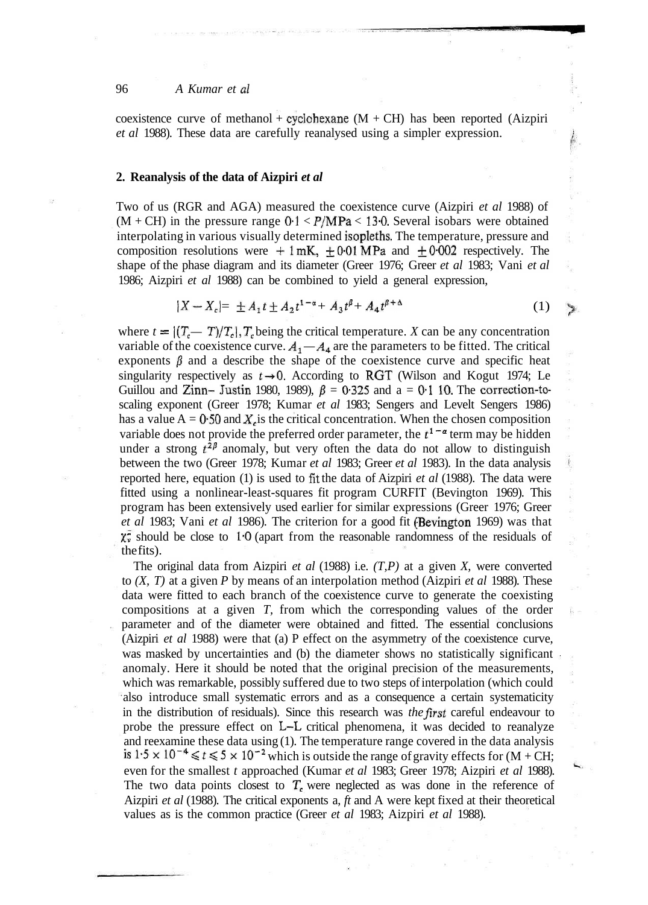#### 96 *A Kumar et al*

coexistence curve of methanol + cyclohexane  $(M + CH)$  has been reported (Aizpiri *et al* 1988). These data are carefully reanalysed using a simpler expression.

#### **2. Reanalysis of the data of Aizpiri** *et al*

Two of us (RGR and AGA) measured the coexistence curve (Aizpiri *et al* 1988) of  $(M + CH)$  in the pressure range  $0.1 < P/MPa < 13.0$ . Several isobars were obtained interpolating in various visually determined isopleths. The temperature, pressure and composition resolutions were  $+1$  mK,  $\pm 0.01$  MPa and  $\pm 0.002$  respectively. The shape of the phase diagram and its diameter (Greer 1976; Greer *et al* 1983; Vani *et al* 1986; Aizpiri *et al* 1988) can be combined to yield a general expression,

$$
|X - X_c| = \pm A_1 t \pm A_2 t^{1-\alpha} + A_3 t^{\beta} + A_4 t^{\beta + \Delta}
$$
 (1)

Y

where  $t = \frac{(T_c - T)}{T_c}$ ,  $T_c$  being the critical temperature. *X* can be any concentration variable of the coexistence curve.  $A_1 - A_4$  are the parameters to be fitted. The critical exponents  $\beta$  and a describe the shape of the coexistence curve and specific heat singularity respectively as  $t \rightarrow 0$ . According to RGT (Wilson and Kogut 1974; Le Guillou and Zinn- Justin 1980, 1989),  $\beta = 0.325$  and a = 0.1 10. The correction-toscaling exponent (Greer 1978; Kumar *et al* 1983; Sengers and Levelt Sengers 1986) has a value  $A = 0.50$  and  $X<sub>c</sub>$  is the critical concentration. When the chosen composition variable does not provide the preferred order parameter, the  $t^{1-\alpha}$  term may be hidden under a strong  $t^{2\beta}$  anomaly, but very often the data do not allow to distinguish between the two (Greer 1978; Kumar *et al* 1983; Greer *et al* 1983). In the data analysis reported here, equation (1) is used to fit the data of Aizpiri *et al* (1988). The data were fitted using a nonlinear-least-squares fit program CURFIT (Bevington 1969). This program has been extensively used earlier for similar expressions (Greer 1976; Greer *et al* 1983; Vani *et al* 1986). The criterion for a good fit (Bevington 1969) was that  $\chi_{\nu}^2$  should be close to 1.0 (apart from the reasonable randomness of the residuals of the fits).

The original data from Aizpiri *et al* (1988) i.e. *(T,P)* at a given *X,* were converted to *(X, T)* at a given *P* by means of an interpolation method (Aizpiri *et al* 1988). These data were fitted to each branch of the coexistence curve to generate the coexisting compositions at a given *T,* from which the corresponding values of the order parameter and of the diameter were obtained and fitted. The essential conclusions (Aizpiri *et al* 1988) were that (a) P effect on the asymmetry of the coexistence curve, was masked by uncertainties and (b) the diameter shows no statistically significant anomaly. Here it should be noted that the original precision of the measurements, which was remarkable, possibly suffered due to two steps of interpolation (which could also introduce small systematic errors and as a consequence a certain systematicity in the distribution of residuals). Since this research was *the first* careful endeavour to probe the pressure effect on L-L critical phenomena, it was decided to reanalyze and reexamine these data using (1). The temperature range covered in the data analysis is  $1.5 \times 10^{-4} \le t \le 5 \times 10^{-2}$  which is outside the range of gravity effects for (M + CH; even for the smallest *t* approached (Kumar *et al* 1983; Greer 1978; Aizpiri *et al* 1988). The two data points closest to  $T_c$  were neglected as was done in the reference of Aizpiri *et al* (1988). The critical exponents a, *ft* and A were kept fixed at their theoretical values as is the common practice (Greer *et al* 1983; Aizpiri *et al* 1988).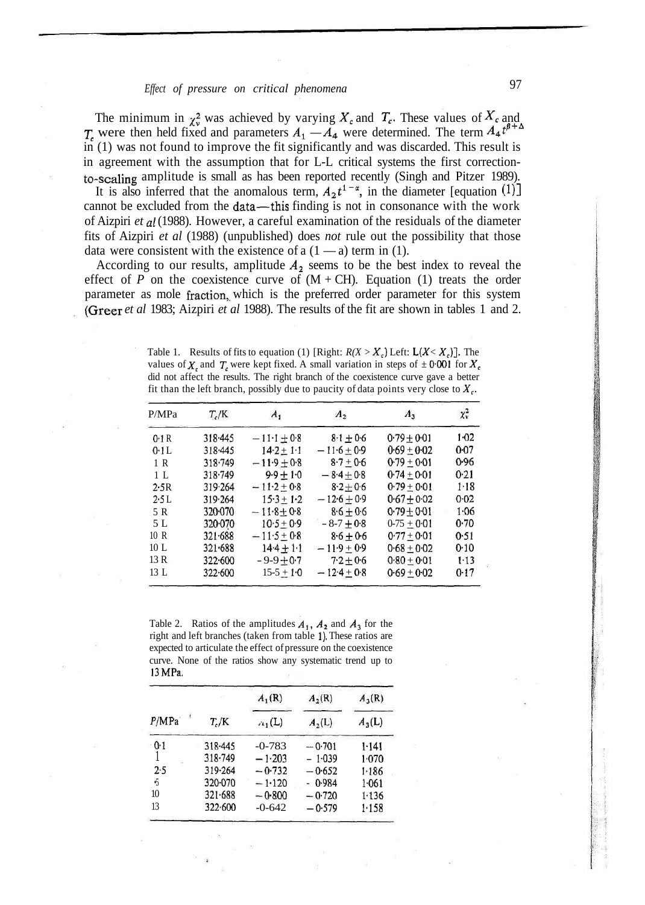# *Effect of pressure on critical phenomena* 97

The minimum in  $\chi^2$  was achieved by varying  $X_c$  and  $T_c$ . These values of  $X_c$  and  $T_c$  were then held fixed and parameters  $A_1 - A_4$  were determined. The term  $A_4 t^{\beta+4}$ in (1) was not found to improve the fit significantly and was discarded. This result is in agreement with the assumption that for L-L critical systems the first correctionto-scaling amplitude is small as has been reported recently (Singh and Pitzer 1989).

It is also inferred that the anomalous term,  $A_2t^{1-\alpha}$ , in the diameter [equation (1)] cannot be excluded from the data—this finding is not in consonance with the work of Aizpiri *et al* (1988). However, a careful examination of the residuals of the diameter fits of Aizpiri *et al* (1988) (unpublished) does *not* rule out the possibility that those data were consistent with the existence of a  $(1 - a)$  term in (1).

According to our results, amplitude *A2* seems to be the best index to reveal the effect of *P* on the coexistence curve of  $(M + CH)$ . Equation (1) treats the order parameter as mole fraction, which is the preferred order parameter for this system (Greer *et al* 1983; Aizpiri *et al* 1988). The results of the fit are shown in tables 1 and 2.

Table 1. Results of fits to equation (1) [Right:  $R(X > X_c)$  Left:  $L(X < X_c)$ ]. The values of  $X_c$  and  $T_c$  were kept fixed. A small variation in steps of  $\pm 0.001$  for  $X_c$ did not affect the results. The right branch of the coexistence curve gave a better fit than the left branch, possibly due to paucity of data points very close to  $X_c$ .

| P/MPa           | $T_c/K$     | $A_{1}$                   | $A_{2}$         | $A_3$           | $\chi_v^2$ |
|-----------------|-------------|---------------------------|-----------------|-----------------|------------|
| 0.1R            | 318.445     | $-11 \cdot 1 + 0 \cdot 8$ | $8.1 + 0.6$     | $0.79 + 0.01$   | 1.02       |
| $0.11$ .        | 318.445     | $14.2 \pm 1.1$            | $-11.6 \pm 0.9$ | $0.69 \pm 0.02$ | $0 - 07$   |
| 1 R             | 318.749     | $-11.9 + 0.8$             | $8.7 + 0.6$     | $0.79 + 0.01$   | 0.96       |
| 1 <sub>L</sub>  | 318.749     | $9.9 + 1.0$               | $-8.4 + 0.8$    | $0.74 \pm 0.01$ | 0.21       |
| 2.5R            | 319.264     | $-11.2 + 0.8$             | $8 - 2 + 0.6$   | $0.79 \pm 0.01$ | 1.18       |
| 2.5L            | 319.264     | $15.3 \pm 1.2$            | $-12.6 \pm 0.9$ | $0.67 + 0.02$   | 0.02       |
| 5 R             | 320.070     | $-11.8 + 0.8$             | $8-6+0-6$       | $0.79 + 0.01$   | 1.06       |
| 5 L             | 320.070     | $10.5 + 0.9$              | $-8-7 + 0.8$    | $0-75 + 0.01$   | 0.70       |
| 10 R            | $321 - 688$ | $-11.5+0.8$               | $8.6 + 0.6$     | $0.77 + 0.01$   | 0.51       |
| 10 <sub>L</sub> | 321.688     | $14.4 + 1.1$              | $-11.9 + 0.9$   | $0.68 \pm 0.02$ | 0.10       |
| 13R             | 322.600     | $-9-9+0.7$                | $7.2 \pm 0.6$   | $0.80 \pm 0.01$ | 1.13       |
| 13L             | 322.600     | $15-5+10$                 | $-12.4 \pm 0.8$ | $0.69 \pm 0.02$ | 0.17       |

Table 2. Ratios of the amplitudes  $A_1$ ,  $A_2$  and  $A_3$  for the right and left branches (taken from table 1). These ratios are expected to articulate the effect of pressure on the coexistence curve. None of the ratios show any systematic trend up to 13MPa.

|       | $T_{e}/K$   | $A_1(R)$ | $A_2(R)$ | $A_3(R)$ |
|-------|-------------|----------|----------|----------|
| P/MPa |             | $n_1(L)$ | $A_2(L)$ | $A_3(L)$ |
| 0.1   | 318.445     | $-0-783$ | $-0.701$ | 1.141    |
|       | 318-749     | $-1.203$ | $-1.039$ | 1.070    |
| 2.5   | 319.264     | $-0.732$ | $-0.652$ | 1.186    |
| .5    | 320-070     | $-1.120$ | $-0.984$ | 1.061    |
| 10    | 321.688     | $-0.800$ | $-0.720$ | 1.136    |
| 13    | $322 - 600$ | $-0-642$ | $-0.579$ | 1.158    |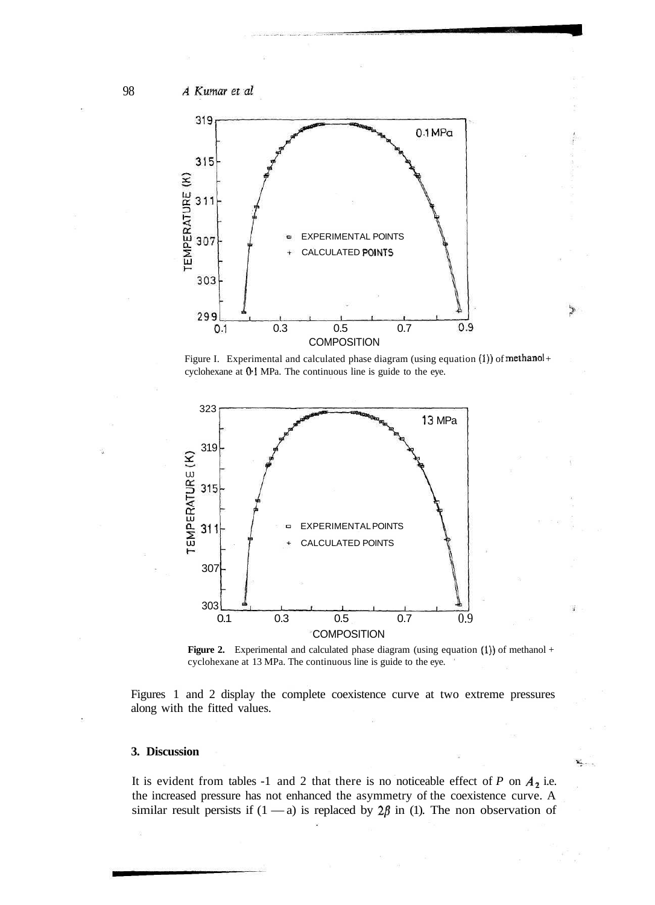A Kumar et al



Figure I. Experimental and calculated phase diagram (using equation  $(1)$ ) of methanol + cyclohexane at 0-1 MPa. The continuous line is guide to the eye.



**Figure 2.** Experimental and calculated phase diagram (using equation (1)) of methanol + cyclohexane at 13 MPa. The continuous line is guide to the eye.

Figures 1 and 2 display the complete coexistence curve at two extreme pressures along with the fitted values.

#### **3. Discussion**

It is evident from tables -1 and 2 that there is no noticeable effect of  $P$  on  $A_2$  i.e. the increased pressure has not enhanced the asymmetry of the coexistence curve. A similar result persists if  $(1 - a)$  is replaced by  $2\beta$  in (1). The non observation of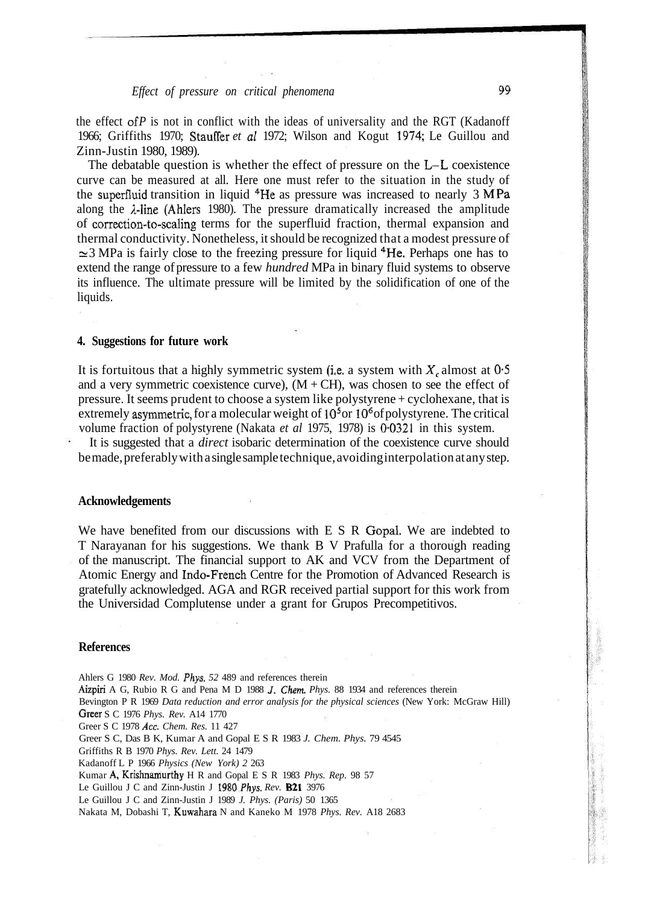## *Effect of pressure on critical phenomena*

the effect of  $P$  is not in conflict with the ideas of universality and the RGT (Kadanoff 1966; Griffiths 1970; Stauffer *et al* 1972; Wilson and Kogut 1974; Le Guillou and Zinn-Justin 1980, 1989).

The debatable question is whether the effect of pressure on the L-L coexistence curve can be measured at all. Here one must refer to the situation in the study of the superfluid transition in liquid <sup>4</sup>He as pressure was increased to nearly 3 MPa along the A-line (Ahlers 1980). The pressure dramatically increased the amplitude of correction-to-scaling terms for the superfluid fraction, thermal expansion and thermal conductivity. Nonetheless, it should be recognized that a modest pressure of ≃3 MPa is fairly close to the freezing pressure for liquid <sup>4</sup>He. Perhaps one has to extend the range of pressure to a few *hundred* MPa in binary fluid systems to observe its influence. The ultimate pressure will be limited by the solidification of one of the liquids.

## **4. Suggestions for future work**

It is fortuitous that a highly symmetric system (i.e. a system with  $X_c$  almost at  $0.5$ ) and a very symmetric coexistence curve),  $(M + CH)$ , was chosen to see the effect of pressure. It seems prudent to choose a system like polystyrene + cyclohexane, that is extremely asymmetric, for a molecular weight of  $10<sup>5</sup>$  or  $10<sup>6</sup>$  of polystyrene. The critical volume fraction of polystyrene (Nakata *et al* 1975, 1978) is 0-0321 in this system.

It is suggested that a *direct* isobaric determination of the coexistence curve should be made, preferably with a single sample technique, avoiding interpolation at any step.

#### **Acknowledgements**

We have benefited from our discussions with E S R Gopal. We are indebted to T Narayanan for his suggestions. We thank B V Prafulla for a thorough reading of the manuscript. The financial support to AK and VCV from the Department of Atomic Energy and Indo-French Centre for the Promotion of Advanced Research is gratefully acknowledged. AGA and RGR received partial support for this work from the Universidad Complutense under a grant for Grupos Precompetitivos.

#### **References**

Ahlers G 1980 *Rev. Mod. Phys. 52* 489 and references therein Aizpiri A G, Rubio R G and Pena M D 1988 /. *Chem. Phys.* 88 1934 and references therein Bevington P R 1969 *Data reduction and error analysis for the physical sciences* (New York: McGraw Hill) Greer S C 1976 *Phys. Rev.* A14 1770 Greer S C 1978 *Ace. Chem. Res.* 11 427 Greer S C, Das B K, Kumar A and Gopal E S R 1983 *J. Chem. Phys.* 79 4545 Griffiths R B 1970 *Phys. Rev. Lett.* 24 1479 Kadanoff L P 1966 *Physics (New York) 2* 263 Kumar A, Krishnamurthy H R and Gopal E S R 1983 *Phys. Rep.* 98 57 Le Guillou J C and Zinn-Justin J 1980 Phys. Rev. **B21** 3976 Le Guillou J C and Zinn-Justin J 1989 *J. Phys. (Paris)* 50 1365 Nakata M, Dobashi T, Kuwahara N and Kaneko M 1978 *Phys. Rev.* A18 2683